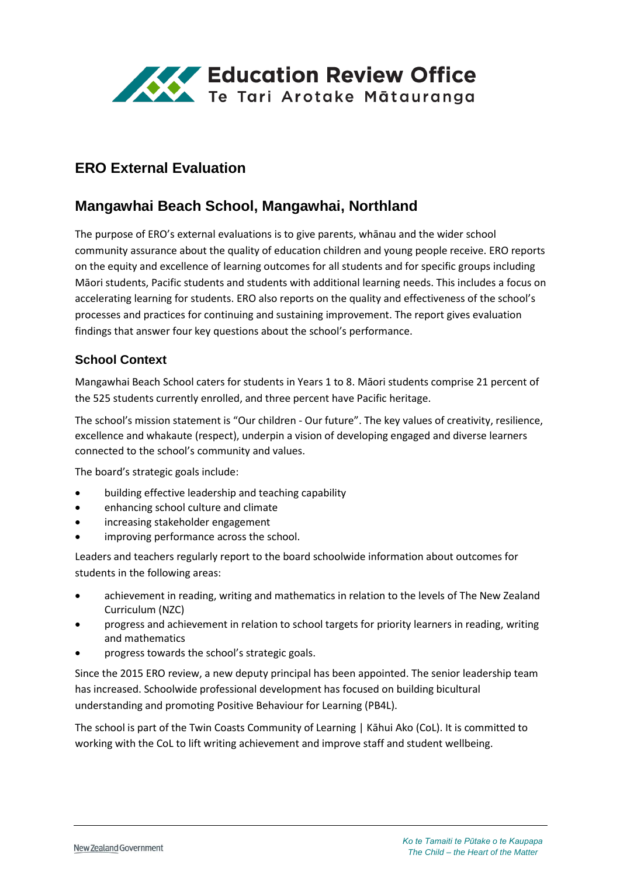

# **ERO External Evaluation**

# **Mangawhai Beach School, Mangawhai, Northland**

The purpose of ERO's external evaluations is to give parents, whānau and the wider school community assurance about the quality of education children and young people receive. ERO reports on the equity and excellence of learning outcomes for all students and for specific groups including Māori students, Pacific students and students with additional learning needs. This includes a focus on accelerating learning for students. ERO also reports on the quality and effectiveness of the school's processes and practices for continuing and sustaining improvement. The report gives evaluation findings that answer four key questions about the school's performance.

#### **School Context**

Mangawhai Beach School caters for students in Years 1 to 8. Māori students comprise 21 percent of the 525 students currently enrolled, and three percent have Pacific heritage.

The school's mission statement is "Our children - Our future". The key values of creativity, resilience, excellence and whakaute (respect), underpin a vision of developing engaged and diverse learners connected to the school's community and values.

The board's strategic goals include:

- building effective leadership and teaching capability
- enhancing school culture and climate
- increasing stakeholder engagement
- improving performance across the school.

Leaders and teachers regularly report to the board schoolwide information about outcomes for students in the following areas:

- achievement in reading, writing and mathematics in relation to the levels of The New Zealand Curriculum (NZC)
- progress and achievement in relation to school targets for priority learners in reading, writing and mathematics
- progress towards the school's strategic goals.

Since the 2015 ERO review, a new deputy principal has been appointed. The senior leadership team has increased. Schoolwide professional development has focused on building bicultural understanding and promoting Positive Behaviour for Learning (PB4L).

The school is part of the Twin Coasts Community of Learning | Kāhui Ako (CoL). It is committed to working with the CoL to lift writing achievement and improve staff and student wellbeing.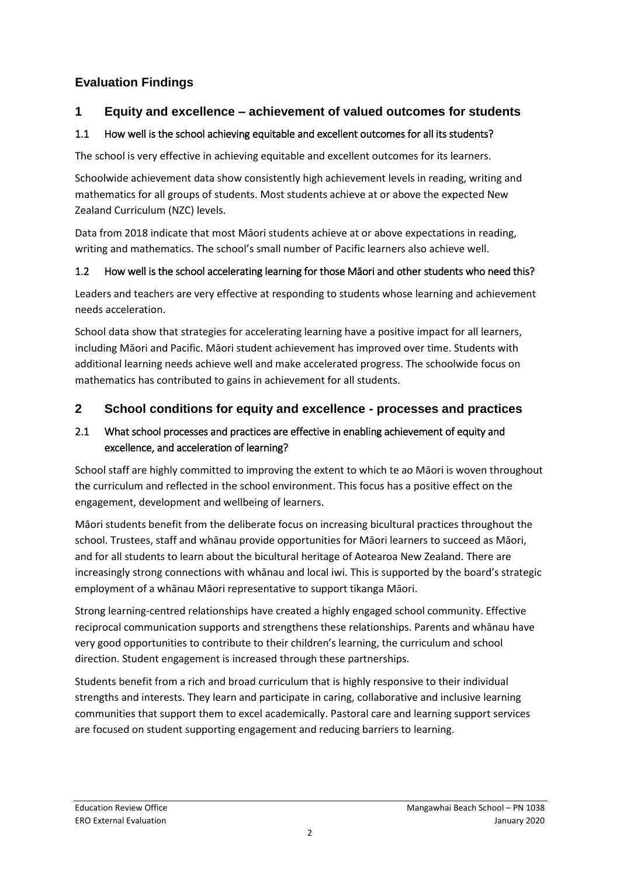## **Evaluation Findings**

## **1 Equity and excellence – achievement of valued outcomes for students**

### 1.1 How well is the school achieving equitable and excellent outcomes for all its students?

The school is very effective in achieving equitable and excellent outcomes for its learners.

Schoolwide achievement data show consistently high achievement levels in reading, writing and mathematics for all groups of students. Most students achieve at or above the expected New Zealand Curriculum (NZC) levels.

Data from 2018 indicate that most Māori students achieve at or above expectations in reading, writing and mathematics. The school's small number of Pacific learners also achieve well.

### 1.2 How well is the school accelerating learning for those Māori and other students who need this?

Leaders and teachers are very effective at responding to students whose learning and achievement needs acceleration.

School data show that strategies for accelerating learning have a positive impact for all learners, including Māori and Pacific. Māori student achievement has improved over time. Students with additional learning needs achieve well and make accelerated progress. The schoolwide focus on mathematics has contributed to gains in achievement for all students.

## **2 School conditions for equity and excellence - processes and practices**

## 2.1 What school processes and practices are effective in enabling achievement of equity and excellence, and acceleration of learning?

School staff are highly committed to improving the extent to which te ao Māori is woven throughout the curriculum and reflected in the school environment. This focus has a positive effect on the engagement, development and wellbeing of learners.

Māori students benefit from the deliberate focus on increasing bicultural practices throughout the school. Trustees, staff and whānau provide opportunities for Māori learners to succeed as Māori, and for all students to learn about the bicultural heritage of Aotearoa New Zealand. There are increasingly strong connections with whānau and local iwi. This is supported by the board's strategic employment of a whānau Māori representative to support tikanga Māori.

Strong learning-centred relationships have created a highly engaged school community. Effective reciprocal communication supports and strengthens these relationships. Parents and whānau have very good opportunities to contribute to their children's learning, the curriculum and school direction. Student engagement is increased through these partnerships.

Students benefit from a rich and broad curriculum that is highly responsive to their individual strengths and interests. They learn and participate in caring, collaborative and inclusive learning communities that support them to excel academically. Pastoral care and learning support services are focused on student supporting engagement and reducing barriers to learning.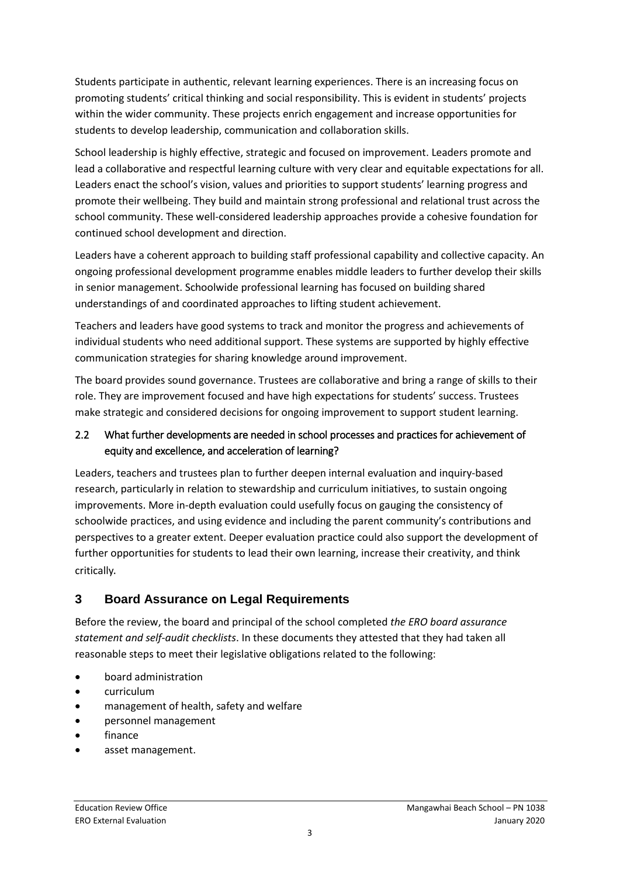Students participate in authentic, relevant learning experiences. There is an increasing focus on promoting students' critical thinking and social responsibility. This is evident in students' projects within the wider community. These projects enrich engagement and increase opportunities for students to develop leadership, communication and collaboration skills.

School leadership is highly effective, strategic and focused on improvement. Leaders promote and lead a collaborative and respectful learning culture with very clear and equitable expectations for all. Leaders enact the school's vision, values and priorities to support students' learning progress and promote their wellbeing. They build and maintain strong professional and relational trust across the school community. These well-considered leadership approaches provide a cohesive foundation for continued school development and direction.

Leaders have a coherent approach to building staff professional capability and collective capacity. An ongoing professional development programme enables middle leaders to further develop their skills in senior management. Schoolwide professional learning has focused on building shared understandings of and coordinated approaches to lifting student achievement.

Teachers and leaders have good systems to track and monitor the progress and achievements of individual students who need additional support. These systems are supported by highly effective communication strategies for sharing knowledge around improvement.

The board provides sound governance. Trustees are collaborative and bring a range of skills to their role. They are improvement focused and have high expectations for students' success. Trustees make strategic and considered decisions for ongoing improvement to support student learning.

### 2.2 What further developments are needed in school processes and practices for achievement of equity and excellence, and acceleration of learning?

Leaders, teachers and trustees plan to further deepen internal evaluation and inquiry-based research, particularly in relation to stewardship and curriculum initiatives, to sustain ongoing improvements. More in-depth evaluation could usefully focus on gauging the consistency of schoolwide practices, and using evidence and including the parent community's contributions and perspectives to a greater extent. Deeper evaluation practice could also support the development of further opportunities for students to lead their own learning, increase their creativity, and think critically.

## **3 Board Assurance on Legal Requirements**

Before the review, the board and principal of the school completed *the ERO board assurance statement and self-audit checklists*. In these documents they attested that they had taken all reasonable steps to meet their legislative obligations related to the following:

- board administration
- curriculum
- management of health, safety and welfare
- personnel management
- finance
- asset management.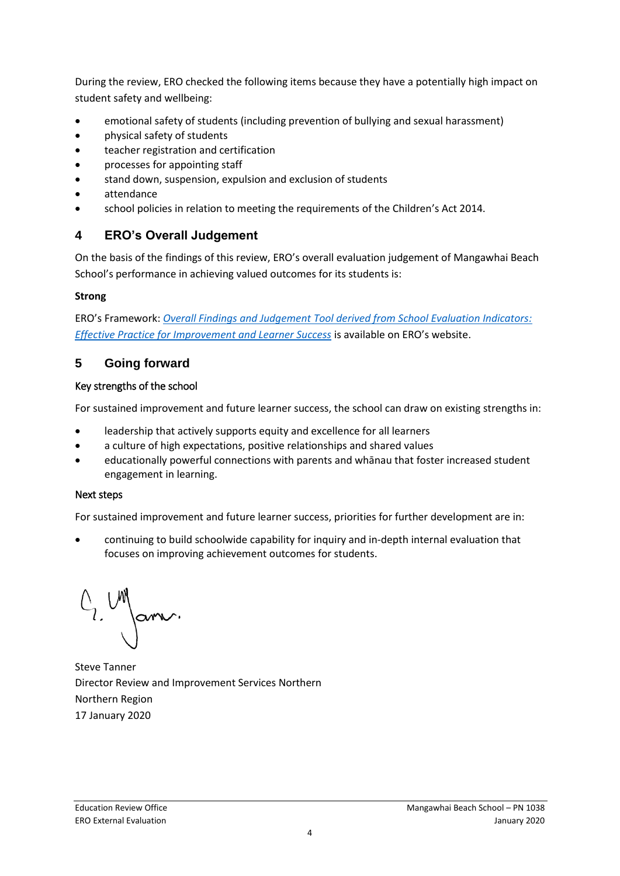During the review, ERO checked the following items because they have a potentially high impact on student safety and wellbeing:

- emotional safety of students (including prevention of bullying and sexual harassment)
- physical safety of students
- teacher registration and certification
- processes for appointing staff
- stand down, suspension, expulsion and exclusion of students
- attendance
- school policies in relation to meeting the requirements of the Children's Act 2014.

## **4 ERO's Overall Judgement**

On the basis of the findings of this review, ERO's overall evaluation judgement of Mangawhai Beach School's performance in achieving valued outcomes for its students is:

#### **Strong**

ERO's Framework: *[Overall Findings and Judgement Tool derived from School Evaluation Indicators:](https://www.ero.govt.nz/assets/Uploads/ERO-18798-1-AF-Overall-findings-and-judgements-document-v4.pdf)  [Effective Practice for Improvement and Learner Success](https://www.ero.govt.nz/assets/Uploads/ERO-18798-1-AF-Overall-findings-and-judgements-document-v4.pdf)* is available on ERO's website.

## **5 Going forward**

#### Key strengths of the school

For sustained improvement and future learner success, the school can draw on existing strengths in:

- leadership that actively supports equity and excellence for all learners
- a culture of high expectations, positive relationships and shared values
- educationally powerful connections with parents and whānau that foster increased student engagement in learning.

#### Next steps

For sustained improvement and future learner success, priorities for further development are in:

• continuing to build schoolwide capability for inquiry and in-depth internal evaluation that focuses on improving achievement outcomes for students.

C, Unfann.

Steve Tanner Director Review and Improvement Services Northern Northern Region 17 January 2020